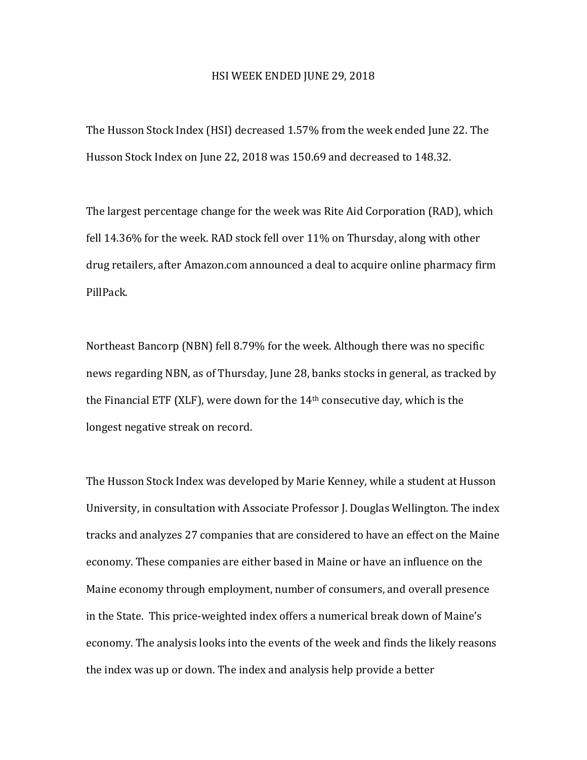## HSI WEEK ENDED JUNE 29, 2018

The Husson Stock Index (HSI) decreased 1.57% from the week ended June 22. The Husson Stock Index on June 22, 2018 was 150.69 and decreased to 148.32.

The largest percentage change for the week was Rite Aid Corporation (RAD), which fell  $14.36\%$  for the week. RAD stock fell over  $11\%$  on Thursday, along with other drug retailers, after Amazon.com announced a deal to acquire online pharmacy firm PillPack.

Northeast Bancorp (NBN) fell 8.79% for the week. Although there was no specific news regarding NBN, as of Thursday, June 28, banks stocks in general, as tracked by the Financial ETF (XLF), were down for the  $14<sup>th</sup>$  consecutive day, which is the longest negative streak on record.

The Husson Stock Index was developed by Marie Kenney, while a student at Husson University, in consultation with Associate Professor J. Douglas Wellington. The index tracks and analyzes 27 companies that are considered to have an effect on the Maine economy. These companies are either based in Maine or have an influence on the Maine economy through employment, number of consumers, and overall presence in the State. This price-weighted index offers a numerical break down of Maine's economy. The analysis looks into the events of the week and finds the likely reasons the index was up or down. The index and analysis help provide a better